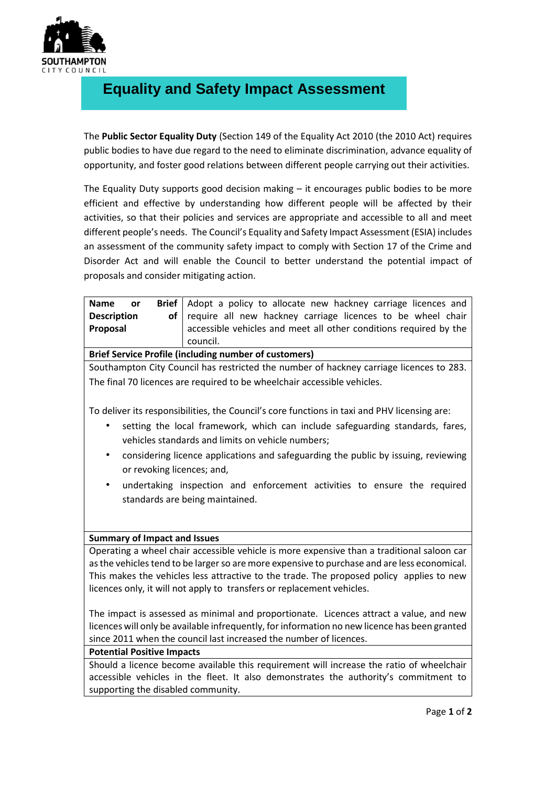

## **Equality and Safety Impact Assessment**

The **Public Sector Equality Duty** (Section 149 of the Equality Act 2010 (the 2010 Act) requires public bodies to have due regard to the need to eliminate discrimination, advance equality of opportunity, and foster good relations between different people carrying out their activities.

The Equality Duty supports good decision making – it encourages public bodies to be more efficient and effective by understanding how different people will be affected by their activities, so that their policies and services are appropriate and accessible to all and meet different people's needs. The Council's Equality and Safety Impact Assessment (ESIA) includes an assessment of the community safety impact to comply with Section 17 of the Crime and Disorder Act and will enable the Council to better understand the potential impact of proposals and consider mitigating action.

| Brief  <br><b>Name</b><br>or                                                                    | Adopt a policy to allocate new hackney carriage licences and                                 |  |  |
|-------------------------------------------------------------------------------------------------|----------------------------------------------------------------------------------------------|--|--|
| <b>Description</b><br>of                                                                        | require all new hackney carriage licences to be wheel chair                                  |  |  |
| Proposal                                                                                        | accessible vehicles and meet all other conditions required by the                            |  |  |
|                                                                                                 | council.                                                                                     |  |  |
|                                                                                                 | <b>Brief Service Profile (including number of customers)</b>                                 |  |  |
| Southampton City Council has restricted the number of hackney carriage licences to 283.         |                                                                                              |  |  |
| The final 70 licences are required to be wheelchair accessible vehicles.                        |                                                                                              |  |  |
|                                                                                                 |                                                                                              |  |  |
|                                                                                                 | To deliver its responsibilities, the Council's core functions in taxi and PHV licensing are: |  |  |
|                                                                                                 |                                                                                              |  |  |
| setting the local framework, which can include safeguarding standards, fares,                   |                                                                                              |  |  |
| vehicles standards and limits on vehicle numbers;                                               |                                                                                              |  |  |
| considering licence applications and safeguarding the public by issuing, reviewing<br>$\bullet$ |                                                                                              |  |  |
| or revoking licences; and,                                                                      |                                                                                              |  |  |
| undertaking inspection and enforcement activities to ensure the required<br>$\bullet$           |                                                                                              |  |  |
| standards are being maintained.                                                                 |                                                                                              |  |  |
|                                                                                                 |                                                                                              |  |  |
|                                                                                                 |                                                                                              |  |  |
|                                                                                                 |                                                                                              |  |  |
| <b>Summary of Impact and Issues</b>                                                             |                                                                                              |  |  |
| Operating a wheel chair accessible vehicle is more expensive than a traditional saloon car      |                                                                                              |  |  |
| as the vehicles tend to be larger so are more expensive to purchase and are less economical.    |                                                                                              |  |  |
| This makes the vehicles less attractive to the trade. The proposed policy applies to new        |                                                                                              |  |  |
| licences only, it will not apply to transfers or replacement vehicles.                          |                                                                                              |  |  |
|                                                                                                 |                                                                                              |  |  |
| The impact is assessed as minimal and proportionate. Licences attract a value, and new          |                                                                                              |  |  |
| licences will only be available infrequently, for information no new licence has been granted   |                                                                                              |  |  |
| since 2011 when the council last increased the number of licences.                              |                                                                                              |  |  |
| <b>Potential Positive Impacts</b>                                                               |                                                                                              |  |  |
| Should a licence become available this requirement will increase the ratio of wheelchair        |                                                                                              |  |  |
|                                                                                                 |                                                                                              |  |  |

accessible vehicles in the fleet. It also demonstrates the authority's commitment to supporting the disabled community.